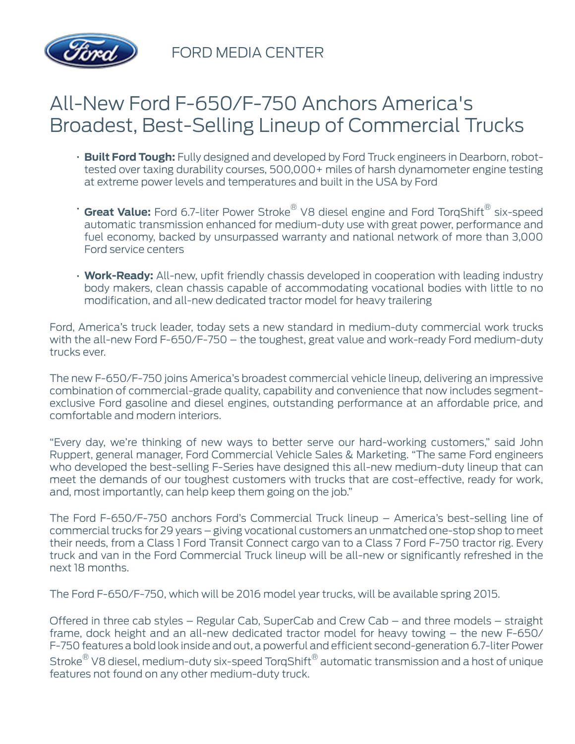

FORD MEDIA CENTER

# All-New Ford F-650/F-750 Anchors America's Broadest, Best-Selling Lineup of Commercial Trucks

- **Built Ford Tough:** Fully designed and developed by Ford Truck engineers in Dearborn, robottested over taxing durability courses, 500,000+ miles of harsh dynamometer engine testing at extreme power levels and temperatures and built in the USA by Ford
- **Great Value:** Ford 6.7-liter Power Stroke® V8 diesel engine and Ford TorqShift® six-speed automatic transmission enhanced for medium-duty use with great power, performance and fuel economy, backed by unsurpassed warranty and national network of more than 3,000 Ford service centers
- **Work-Ready:** All-new, upfit friendly chassis developed in cooperation with leading industry body makers, clean chassis capable of accommodating vocational bodies with little to no modification, and all-new dedicated tractor model for heavy trailering

Ford, America's truck leader, today sets a new standard in medium-duty commercial work trucks with the all-new Ford F-650/F-750 – the toughest, great value and work-ready Ford medium-duty trucks ever.

The new F-650/F-750 joins America's broadest commercial vehicle lineup, delivering an impressive combination of commercial-grade quality, capability and convenience that now includes segmentexclusive Ford gasoline and diesel engines, outstanding performance at an affordable price, and comfortable and modern interiors.

"Every day, we're thinking of new ways to better serve our hard-working customers," said John Ruppert, general manager, Ford Commercial Vehicle Sales & Marketing. "The same Ford engineers who developed the best-selling F-Series have designed this all-new medium-duty lineup that can meet the demands of our toughest customers with trucks that are cost-effective, ready for work, and, most importantly, can help keep them going on the job."

The Ford F-650/F-750 anchors Ford's Commercial Truck lineup – America's best-selling line of commercial trucks for 29 years – giving vocational customers an unmatched one-stop shop to meet their needs, from a Class 1 Ford Transit Connect cargo van to a Class 7 Ford F-750 tractor rig. Every truck and van in the Ford Commercial Truck lineup will be all-new or significantly refreshed in the next 18 months.

The Ford F-650/F-750, which will be 2016 model year trucks, will be available spring 2015.

Offered in three cab styles – Regular Cab, SuperCab and Crew Cab – and three models – straight frame, dock height and an all-new dedicated tractor model for heavy towing – the new F-650/ F-750 features a bold look inside and out, a powerful and efficient second-generation 6.7-liter Power Stroke $^\circledR$  V8 diesel, medium-duty six-speed TorqShift $^\circledR$  automatic transmission and a host of unique features not found on any other medium-duty truck.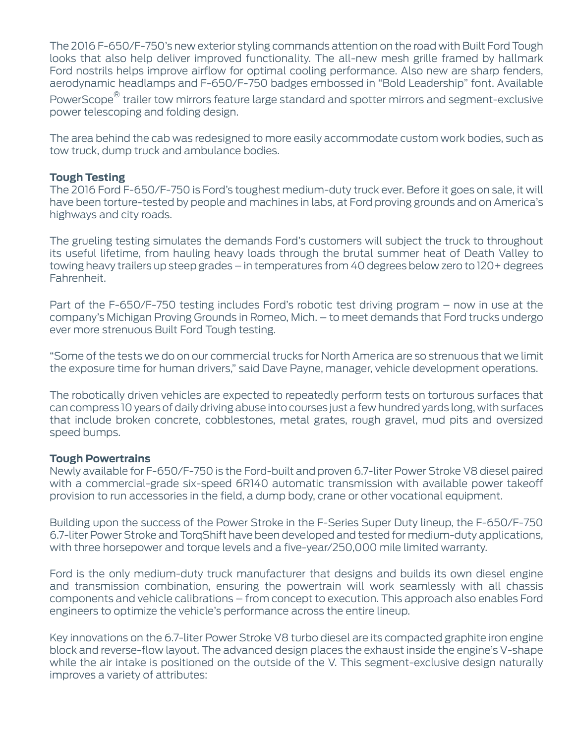The 2016 F-650/F-750's new exterior styling commands attention on the road with Built Ford Tough looks that also help deliver improved functionality. The all-new mesh grille framed by hallmark Ford nostrils helps improve airflow for optimal cooling performance. Also new are sharp fenders, aerodynamic headlamps and F-650/F-750 badges embossed in "Bold Leadership" font. Available

PowerScope $^{\circledR}$  trailer tow mirrors feature large standard and spotter mirrors and segment-exclusive power telescoping and folding design.

The area behind the cab was redesigned to more easily accommodate custom work bodies, such as tow truck, dump truck and ambulance bodies.

### **Tough Testing**

The 2016 Ford F-650/F-750 is Ford's toughest medium-duty truck ever. Before it goes on sale, it will have been torture-tested by people and machines in labs, at Ford proving grounds and on America's highways and city roads.

The grueling testing simulates the demands Ford's customers will subject the truck to throughout its useful lifetime, from hauling heavy loads through the brutal summer heat of Death Valley to towing heavy trailers up steep grades – in temperatures from 40 degrees below zero to 120+ degrees Fahrenheit.

Part of the F-650/F-750 testing includes Ford's robotic test driving program – now in use at the company's Michigan Proving Grounds in Romeo, Mich. – to meet demands that Ford trucks undergo ever more strenuous Built Ford Tough testing.

"Some of the tests we do on our commercial trucks for North America are so strenuous that we limit the exposure time for human drivers," said Dave Payne, manager, vehicle development operations.

The robotically driven vehicles are expected to repeatedly perform tests on torturous surfaces that can compress 10 years of daily driving abuse into courses just a few hundred yards long, with surfaces that include broken concrete, cobblestones, metal grates, rough gravel, mud pits and oversized speed bumps.

### **Tough Powertrains**

Newly available for F-650/F-750 is the Ford-built and proven 6.7-liter Power Stroke V8 diesel paired with a commercial-grade six-speed 6R140 automatic transmission with available power takeoff provision to run accessories in the field, a dump body, crane or other vocational equipment.

Building upon the success of the Power Stroke in the F-Series Super Duty lineup, the F-650/F-750 6.7-liter Power Stroke and TorqShift have been developed and tested for medium-duty applications, with three horsepower and torque levels and a five-year/250,000 mile limited warranty.

Ford is the only medium-duty truck manufacturer that designs and builds its own diesel engine and transmission combination, ensuring the powertrain will work seamlessly with all chassis components and vehicle calibrations – from concept to execution. This approach also enables Ford engineers to optimize the vehicle's performance across the entire lineup.

Key innovations on the 6.7-liter Power Stroke V8 turbo diesel are its compacted graphite iron engine block and reverse-flow layout. The advanced design places the exhaust inside the engine's V-shape while the air intake is positioned on the outside of the V. This segment-exclusive design naturally improves a variety of attributes: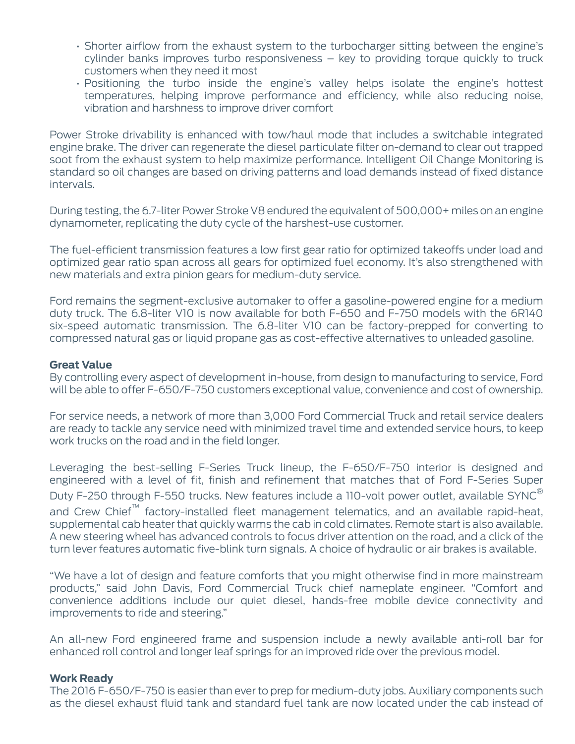- Shorter airflow from the exhaust system to the turbocharger sitting between the engine's cylinder banks improves turbo responsiveness – key to providing torque quickly to truck customers when they need it most
- Positioning the turbo inside the engine's valley helps isolate the engine's hottest temperatures, helping improve performance and efficiency, while also reducing noise, vibration and harshness to improve driver comfort

Power Stroke drivability is enhanced with tow/haul mode that includes a switchable integrated engine brake. The driver can regenerate the diesel particulate filter on-demand to clear out trapped soot from the exhaust system to help maximize performance. Intelligent Oil Change Monitoring is standard so oil changes are based on driving patterns and load demands instead of fixed distance intervals.

During testing, the 6.7-liter Power Stroke V8 endured the equivalent of 500,000+ miles on an engine dynamometer, replicating the duty cycle of the harshest-use customer.

The fuel-efficient transmission features a low first gear ratio for optimized takeoffs under load and optimized gear ratio span across all gears for optimized fuel economy. It's also strengthened with new materials and extra pinion gears for medium-duty service.

Ford remains the segment-exclusive automaker to offer a gasoline-powered engine for a medium duty truck. The 6.8-liter V10 is now available for both F-650 and F-750 models with the 6R140 six-speed automatic transmission. The 6.8-liter V10 can be factory-prepped for converting to compressed natural gas or liquid propane gas as cost-effective alternatives to unleaded gasoline.

### **Great Value**

By controlling every aspect of development in-house, from design to manufacturing to service, Ford will be able to offer F-650/F-750 customers exceptional value, convenience and cost of ownership.

For service needs, a network of more than 3,000 Ford Commercial Truck and retail service dealers are ready to tackle any service need with minimized travel time and extended service hours, to keep work trucks on the road and in the field longer.

Leveraging the best-selling F-Series Truck lineup, the F-650/F-750 interior is designed and engineered with a level of fit, finish and refinement that matches that of Ford F-Series Super Duty F-250 through F-550 trucks. New features include a 110-volt power outlet, available SYNC $^{\circ}$ and Crew Chief<sup>™</sup> factory-installed fleet management telematics, and an available rapid-heat, supplemental cab heater that quickly warms the cab in cold climates. Remote start is also available. A new steering wheel has advanced controls to focus driver attention on the road, and a click of the turn lever features automatic five-blink turn signals. A choice of hydraulic or air brakes is available.

"We have a lot of design and feature comforts that you might otherwise find in more mainstream products," said John Davis, Ford Commercial Truck chief nameplate engineer. "Comfort and convenience additions include our quiet diesel, hands-free mobile device connectivity and improvements to ride and steering."

An all-new Ford engineered frame and suspension include a newly available anti-roll bar for enhanced roll control and longer leaf springs for an improved ride over the previous model.

### **Work Ready**

The 2016 F-650/F-750 is easier than ever to prep for medium-duty jobs. Auxiliary components such as the diesel exhaust fluid tank and standard fuel tank are now located under the cab instead of